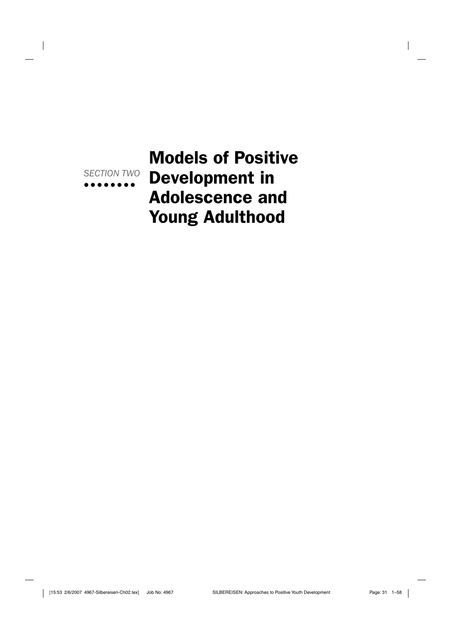## *SECTION TWO* •••••••• Models of Positive Development in Adolescence and Young Adulthood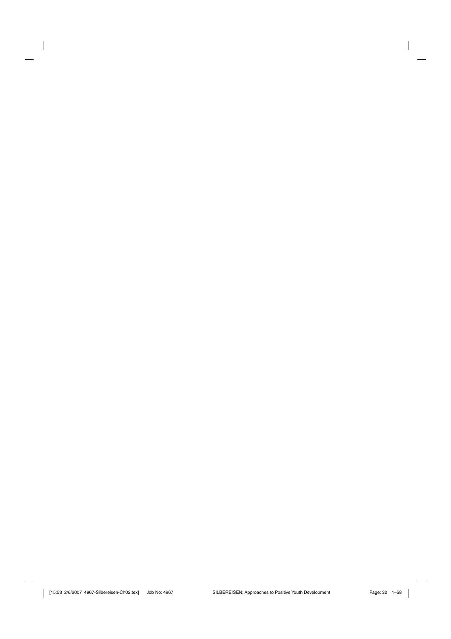[15:53 2/6/2007 4967-Silbereisen-Ch02.tex] Job No: 4967 SILBEREISEN: Approaches to Positive Youth Development Page: 32 1–58

 $\overline{\phantom{a}}$ 

 $\overline{\phantom{a}}$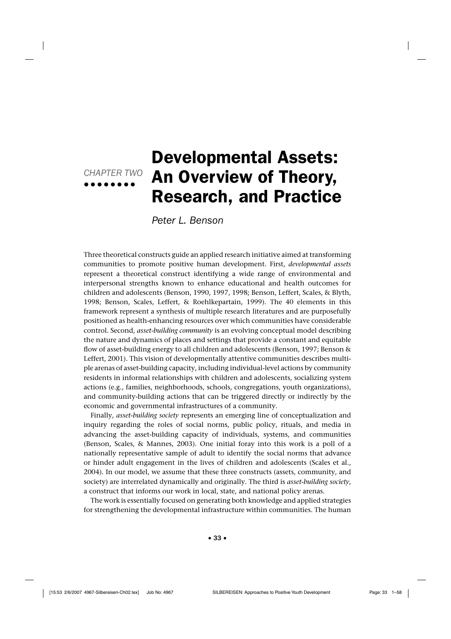*CHAPTER TWO* ••••••••

# Developmental Assets: An Overview of Theory, Research, and Practice

### *Peter L. Benson*

Three theoretical constructs guide an applied research initiative aimed at transforming communities to promote positive human development. First, *developmental assets* represent a theoretical construct identifying a wide range of environmental and interpersonal strengths known to enhance educational and health outcomes for children and adolescents (Benson, 1990, 1997, 1998; Benson, Leffert, Scales, & Blyth, 1998; Benson, Scales, Leffert, & Roehlkepartain, 1999). The 40 elements in this framework represent a synthesis of multiple research literatures and are purposefully positioned as health-enhancing resources over which communities have considerable control. Second, *asset-building community* is an evolving conceptual model describing the nature and dynamics of places and settings that provide a constant and equitable flow of asset-building energy to all children and adolescents (Benson, 1997; Benson & Leffert, 2001). This vision of developmentally attentive communities describes multiple arenas of asset-building capacity, including individual-level actions by community residents in informal relationships with children and adolescents, socializing system actions (e.g., families, neighborhoods, schools, congregations, youth organizations), and community-building actions that can be triggered directly or indirectly by the economic and governmental infrastructures of a community.

Finally, *asset-building society* represents an emerging line of conceptualization and inquiry regarding the roles of social norms, public policy, rituals, and media in advancing the asset-building capacity of individuals, systems, and communities (Benson, Scales, & Mannes, 2003). One initial foray into this work is a poll of a nationally representative sample of adult to identify the social norms that advance or hinder adult engagement in the lives of children and adolescents (Scales et al., 2004). In our model, we assume that these three constructs (assets, community, and society) are interrelated dynamically and originally. The third is *asset-building society*, a construct that informs our work in local, state, and national policy arenas.

The work is essentially focused on generating both knowledge and applied strategies for strengthening the developmental infrastructure within communities. The human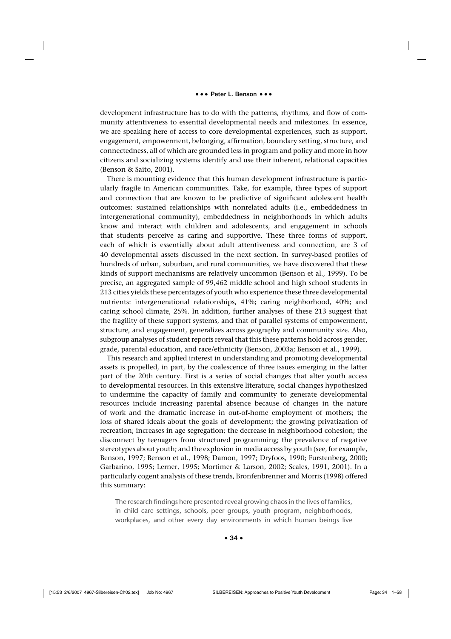development infrastructure has to do with the patterns, rhythms, and flow of community attentiveness to essential developmental needs and milestones. In essence, we are speaking here of access to core developmental experiences, such as support, engagement, empowerment, belonging, affirmation, boundary setting, structure, and connectedness, all of which are grounded less in program and policy and more in how citizens and socializing systems identify and use their inherent, relational capacities (Benson & Saito, 2001).

There is mounting evidence that this human development infrastructure is particularly fragile in American communities. Take, for example, three types of support and connection that are known to be predictive of significant adolescent health outcomes: sustained relationships with nonrelated adults (i.e., embeddedness in intergenerational community), embeddedness in neighborhoods in which adults know and interact with children and adolescents, and engagement in schools that students perceive as caring and supportive. These three forms of support, each of which is essentially about adult attentiveness and connection, are 3 of 40 developmental assets discussed in the next section. In survey-based profiles of hundreds of urban, suburban, and rural communities, we have discovered that these kinds of support mechanisms are relatively uncommon (Benson et al., 1999). To be precise, an aggregated sample of 99,462 middle school and high school students in 213 cities yields these percentages of youth who experience these three developmental nutrients: intergenerational relationships, 41%; caring neighborhood, 40%; and caring school climate, 25%. In addition, further analyses of these 213 suggest that the fragility of these support systems, and that of parallel systems of empowerment, structure, and engagement, generalizes across geography and community size. Also, subgroup analyses of student reports reveal that this these patterns hold across gender, grade, parental education, and race/ethnicity (Benson, 2003a; Benson et al., 1999).

This research and applied interest in understanding and promoting developmental assets is propelled, in part, by the coalescence of three issues emerging in the latter part of the 20th century. First is a series of social changes that alter youth access to developmental resources. In this extensive literature, social changes hypothesized to undermine the capacity of family and community to generate developmental resources include increasing parental absence because of changes in the nature of work and the dramatic increase in out-of-home employment of mothers; the loss of shared ideals about the goals of development; the growing privatization of recreation; increases in age segregation; the decrease in neighborhood cohesion; the disconnect by teenagers from structured programming; the prevalence of negative stereotypes about youth; and the explosion in media access by youth (see, for example, Benson, 1997; Benson et al., 1998; Damon, 1997; Dryfoos, 1990; Furstenberg, 2000; Garbarino, 1995; Lerner, 1995; Mortimer & Larson, 2002; Scales, 1991, 2001). In a particularly cogent analysis of these trends, Bronfenbrenner and Morris (1998) offered this summary:

The research findings here presented reveal growing chaos in the lives of families, in child care settings, schools, peer groups, youth program, neighborhoods, workplaces, and other every day environments in which human beings live

• 34 •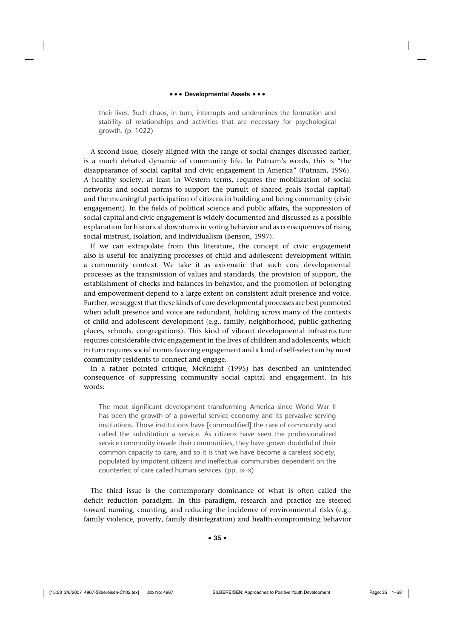their lives. Such chaos, in turn, interrupts and undermines the formation and stability of relationships and activities that are necessary for psychological growth. (p. 1022)

A second issue, closely aligned with the range of social changes discussed earlier, is a much debated dynamic of community life. In Putnam's words, this is "the disappearance of social capital and civic engagement in America" (Putnam, 1996). A healthy society, at least in Western terms, requires the mobilization of social networks and social norms to support the pursuit of shared goals (social capital) and the meaningful participation of citizens in building and being community (civic engagement). In the fields of political science and public affairs, the suppression of social capital and civic engagement is widely documented and discussed as a possible explanation for historical downturns in voting behavior and as consequences of rising social mistrust, isolation, and individualism (Benson, 1997).

If we can extrapolate from this literature, the concept of civic engagement also is useful for analyzing processes of child and adolescent development within a community context. We take it as axiomatic that such core developmental processes as the transmission of values and standards, the provision of support, the establishment of checks and balances in behavior, and the promotion of belonging and empowerment depend to a large extent on consistent adult presence and voice. Further, we suggest that these kinds of core developmental processes are best promoted when adult presence and voice are redundant, holding across many of the contexts of child and adolescent development (e.g., family, neighborhood, public gathering places, schools, congregations). This kind of vibrant developmental infrastructure requires considerable civic engagement in the lives of children and adolescents, which in turn requires social norms favoring engagement and a kind of self-selection by most community residents to connect and engage.

In a rather pointed critique, McKnight (1995) has described an unintended consequence of suppressing community social capital and engagement. In his words:

The most significant development transforming America since World War II has been the growth of a powerful service economy and its pervasive serving institutions. Those institutions have [commodified] the care of community and called the substitution a service. As citizens have seen the professionalized service commodity invade their communities, they have grown doubtful of their common capacity to care, and so it is that we have become a careless society, populated by impotent citizens and ineffectual communities dependent on the counterfeit of care called human services. (pp. ix–x)

The third issue is the contemporary dominance of what is often called the deficit reduction paradigm. In this paradigm, research and practice are steered toward naming, counting, and reducing the incidence of environmental risks (e.g., family violence, poverty, family disintegration) and health-compromising behavior

• 35 •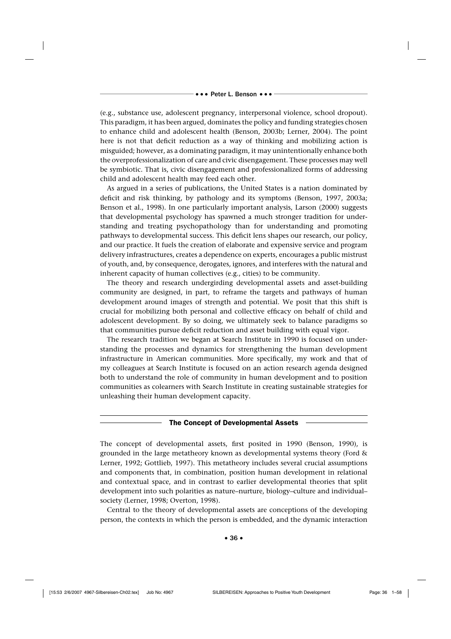(e.g., substance use, adolescent pregnancy, interpersonal violence, school dropout). This paradigm, it has been argued, dominates the policy and funding strategies chosen to enhance child and adolescent health (Benson, 2003b; Lerner, 2004). The point here is not that deficit reduction as a way of thinking and mobilizing action is misguided; however, as a dominating paradigm, it may unintentionally enhance both the overprofessionalization of care and civic disengagement. These processes may well be symbiotic. That is, civic disengagement and professionalized forms of addressing child and adolescent health may feed each other.

As argued in a series of publications, the United States is a nation dominated by deficit and risk thinking, by pathology and its symptoms (Benson, 1997, 2003a; Benson et al., 1998). In one particularly important analysis, Larson (2000) suggests that developmental psychology has spawned a much stronger tradition for understanding and treating psychopathology than for understanding and promoting pathways to developmental success. This deficit lens shapes our research, our policy, and our practice. It fuels the creation of elaborate and expensive service and program delivery infrastructures, creates a dependence on experts, encourages a public mistrust of youth, and, by consequence, derogates, ignores, and interferes with the natural and inherent capacity of human collectives (e.g., cities) to be community.

The theory and research undergirding developmental assets and asset-building community are designed, in part, to reframe the targets and pathways of human development around images of strength and potential. We posit that this shift is crucial for mobilizing both personal and collective efficacy on behalf of child and adolescent development. By so doing, we ultimately seek to balance paradigms so that communities pursue deficit reduction and asset building with equal vigor.

The research tradition we began at Search Institute in 1990 is focused on understanding the processes and dynamics for strengthening the human development infrastructure in American communities. More specifically, my work and that of my colleagues at Search Institute is focused on an action research agenda designed both to understand the role of community in human development and to position communities as colearners with Search Institute in creating sustainable strategies for unleashing their human development capacity.

#### The Concept of Developmental Assets

The concept of developmental assets, first posited in 1990 (Benson, 1990), is grounded in the large metatheory known as developmental systems theory (Ford & Lerner, 1992; Gottlieb, 1997). This metatheory includes several crucial assumptions and components that, in combination, position human development in relational and contextual space, and in contrast to earlier developmental theories that split development into such polarities as nature–nurture, biology–culture and individual– society (Lerner, 1998; Overton, 1998).

Central to the theory of developmental assets are conceptions of the developing person, the contexts in which the person is embedded, and the dynamic interaction

• 36 •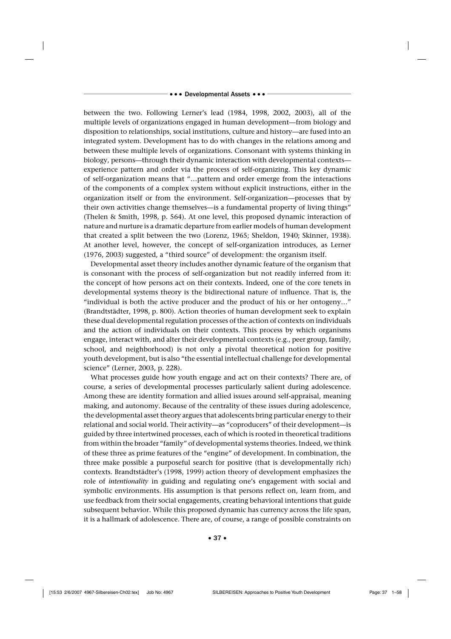between the two. Following Lerner's lead (1984, 1998, 2002, 2003), all of the multiple levels of organizations engaged in human development—from biology and disposition to relationships, social institutions, culture and history—are fused into an integrated system. Development has to do with changes in the relations among and between these multiple levels of organizations. Consonant with systems thinking in biology, persons—through their dynamic interaction with developmental contexts experience pattern and order via the process of self-organizing. This key dynamic of self-organization means that "…pattern and order emerge from the interactions of the components of a complex system without explicit instructions, either in the organization itself or from the environment. Self-organization—processes that by their own activities change themselves—is a fundamental property of living things" (Thelen & Smith, 1998, p. 564). At one level, this proposed dynamic interaction of nature and nurture is a dramatic departure from earlier models of human development that created a split between the two (Lorenz, 1965; Sheldon, 1940; Skinner, 1938). At another level, however, the concept of self-organization introduces, as Lerner (1976, 2003) suggested, a "third source" of development: the organism itself.

Developmental asset theory includes another dynamic feature of the organism that is consonant with the process of self-organization but not readily inferred from it: the concept of how persons act on their contexts. Indeed, one of the core tenets in developmental systems theory is the bidirectional nature of influence. That is, the "individual is both the active producer and the product of his or her ontogeny…" (Brandtstädter, 1998, p. 800). Action theories of human development seek to explain these dual developmental regulation processes of the action of contexts on individuals and the action of individuals on their contexts. This process by which organisms engage, interact with, and alter their developmental contexts (e.g., peer group, family, school, and neighborhood) is not only a pivotal theoretical notion for positive youth development, but is also "the essential intellectual challenge for developmental science" (Lerner, 2003, p. 228).

What processes guide how youth engage and act on their contexts? There are, of course, a series of developmental processes particularly salient during adolescence. Among these are identity formation and allied issues around self-appraisal, meaning making, and autonomy. Because of the centrality of these issues during adolescence, the developmental asset theory argues that adolescents bring particular energy to their relational and social world. Their activity—as "coproducers" of their development—is guided by three intertwined processes, each of which is rooted in theoretical traditions from within the broader "family" of developmental systems theories. Indeed, we think of these three as prime features of the "engine" of development. In combination, the three make possible a purposeful search for positive (that is developmentally rich) contexts. Brandtstädter's (1998, 1999) action theory of development emphasizes the role of *intentionality* in guiding and regulating one's engagement with social and symbolic environments. His assumption is that persons reflect on, learn from, and use feedback from their social engagements, creating behavioral intentions that guide subsequent behavior. While this proposed dynamic has currency across the life span, it is a hallmark of adolescence. There are, of course, a range of possible constraints on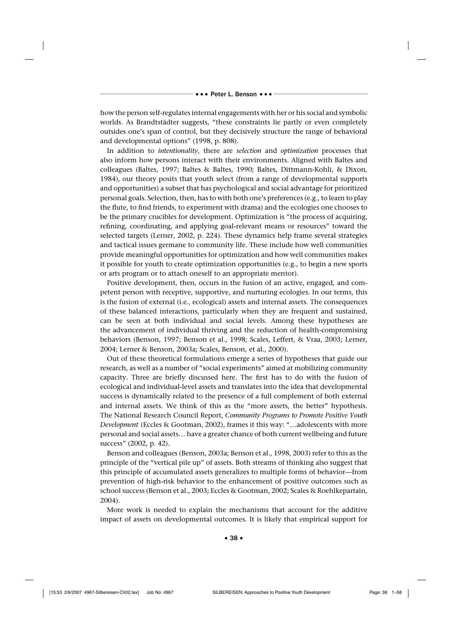how the person self-regulates internal engagements with her or his social and symbolic worlds. As Brandtstädter suggests, "these constraints lie partly or even completely outsides one's span of control, but they decisively structure the range of behavioral and developmental options" (1998, p. 808).

In addition to *intentionality*, there are *selection* and *optimization* processes that also inform how persons interact with their environments. Aligned with Baltes and colleagues (Baltes, 1997; Baltes & Baltes, 1990; Baltes, Dittmann-Kohli, & Dixon, 1984), our theory posits that youth select (from a range of developmental supports and opportunities) a subset that has psychological and social advantage for prioritized personal goals. Selection, then, has to with both one's preferences (e.g., to learn to play the flute, to find friends, to experiment with drama) and the ecologies one chooses to be the primary crucibles for development. Optimization is "the process of acquiring, refining, coordinating, and applying goal-relevant means or resources" toward the selected targets (Lerner, 2002, p. 224). These dynamics help frame several strategies and tactical issues germane to community life. These include how well communities provide meaningful opportunities for optimization and how well communities makes it possible for youth to create optimization opportunities (e.g., to begin a new sports or arts program or to attach oneself to an appropriate mentor).

Positive development, then, occurs in the fusion of an active, engaged, and competent person with receptive, supportive, and nurturing ecologies. In our terms, this is the fusion of external (i.e., ecological) assets and internal assets. The consequences of these balanced interactions, particularly when they are frequent and sustained, can be seen at both individual and social levels. Among these hypotheses are the advancement of individual thriving and the reduction of health-compromising behaviors (Benson, 1997; Benson et al., 1998; Scales, Leffert, & Vraa, 2003; Lerner, 2004; Lerner & Benson, 2003a; Scales, Benson, et al., 2000).

Out of these theoretical formulations emerge a series of hypotheses that guide our research, as well as a number of "social experiments" aimed at mobilizing community capacity. Three are briefly discussed here. The first has to do with the fusion of ecological and individual-level assets and translates into the idea that developmental success is dynamically related to the presence of a full complement of both external and internal assets. We think of this as the "more assets, the better" hypothesis. The National Research Council Report, *Community Programs to Promote Positive Youth Development* (Eccles & Gootman, 2002), frames it this way: "…adolescents with more personal and social assets… have a greater chance of both current wellbeing and future success" (2002, p. 42).

Benson and colleagues (Benson, 2003a; Benson et al., 1998, 2003) refer to this as the principle of the "vertical pile up" of assets. Both streams of thinking also suggest that this principle of accumulated assets generalizes to multiple forms of behavior—from prevention of high-risk behavior to the enhancement of positive outcomes such as school success (Benson et al., 2003; Eccles & Gootman, 2002; Scales & Roehlkepartain, 2004).

More work is needed to explain the mechanisms that account for the additive impact of assets on developmental outcomes. It is likely that empirical support for

• 38 •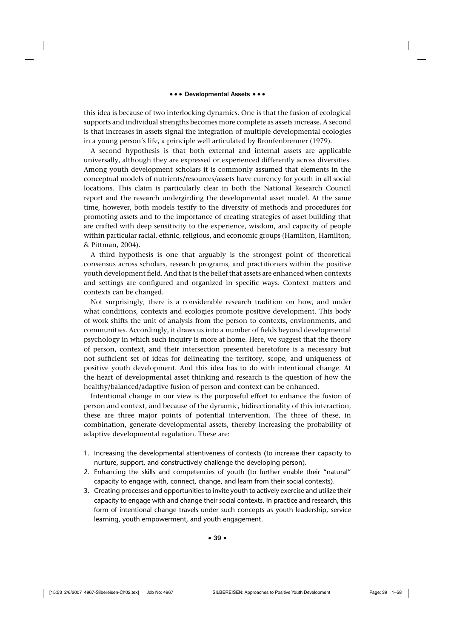this idea is because of two interlocking dynamics. One is that the fusion of ecological supports and individual strengths becomes more complete as assets increase. A second is that increases in assets signal the integration of multiple developmental ecologies in a young person's life, a principle well articulated by Bronfenbrenner (1979).

A second hypothesis is that both external and internal assets are applicable universally, although they are expressed or experienced differently across diversities. Among youth development scholars it is commonly assumed that elements in the conceptual models of nutrients/resources/assets have currency for youth in all social locations. This claim is particularly clear in both the National Research Council report and the research undergirding the developmental asset model. At the same time, however, both models testify to the diversity of methods and procedures for promoting assets and to the importance of creating strategies of asset building that are crafted with deep sensitivity to the experience, wisdom, and capacity of people within particular racial, ethnic, religious, and economic groups (Hamilton, Hamilton, & Pittman, 2004).

A third hypothesis is one that arguably is the strongest point of theoretical consensus across scholars, research programs, and practitioners within the positive youth development field. And that is the belief that assets are enhanced when contexts and settings are configured and organized in specific ways. Context matters and contexts can be changed.

Not surprisingly, there is a considerable research tradition on how, and under what conditions, contexts and ecologies promote positive development. This body of work shifts the unit of analysis from the person to contexts, environments, and communities. Accordingly, it draws us into a number of fields beyond developmental psychology in which such inquiry is more at home. Here, we suggest that the theory of person, context, and their intersection presented heretofore is a necessary but not sufficient set of ideas for delineating the territory, scope, and uniqueness of positive youth development. And this idea has to do with intentional change. At the heart of developmental asset thinking and research is the question of how the healthy/balanced/adaptive fusion of person and context can be enhanced.

Intentional change in our view is the purposeful effort to enhance the fusion of person and context, and because of the dynamic, bidirectionality of this interaction, these are three major points of potential intervention. The three of these, in combination, generate developmental assets, thereby increasing the probability of adaptive developmental regulation. These are:

- 1. Increasing the developmental attentiveness of contexts (to increase their capacity to nurture, support, and constructively challenge the developing person).
- 2. Enhancing the skills and competencies of youth (to further enable their "natural" capacity to engage with, connect, change, and learn from their social contexts).
- 3. Creating processes and opportunities to invite youth to actively exercise and utilize their capacity to engage with and change their social contexts. In practice and research, this form of intentional change travels under such concepts as youth leadership, service learning, youth empowerment, and youth engagement.

• 39 •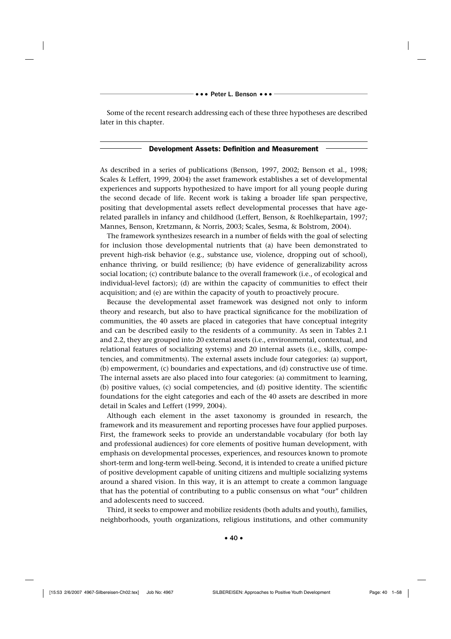Some of the recent research addressing each of these three hypotheses are described later in this chapter.

#### Development Assets: Definition and Measurement

As described in a series of publications (Benson, 1997, 2002; Benson et al., 1998; Scales & Leffert, 1999, 2004) the asset framework establishes a set of developmental experiences and supports hypothesized to have import for all young people during the second decade of life. Recent work is taking a broader life span perspective, positing that developmental assets reflect developmental processes that have agerelated parallels in infancy and childhood (Leffert, Benson, & Roehlkepartain, 1997; Mannes, Benson, Kretzmann, & Norris, 2003; Scales, Sesma, & Bolstrom, 2004).

The framework synthesizes research in a number of fields with the goal of selecting for inclusion those developmental nutrients that (a) have been demonstrated to prevent high-risk behavior (e.g., substance use, violence, dropping out of school), enhance thriving, or build resilience; (b) have evidence of generalizability across social location; (c) contribute balance to the overall framework (i.e., of ecological and individual-level factors); (d) are within the capacity of communities to effect their acquisition; and (e) are within the capacity of youth to proactively procure.

Because the developmental asset framework was designed not only to inform theory and research, but also to have practical significance for the mobilization of communities, the 40 assets are placed in categories that have conceptual integrity and can be described easily to the residents of a community. As seen in Tables 2.1 and 2.2, they are grouped into 20 external assets (i.e., environmental, contextual, and relational features of socializing systems) and 20 internal assets (i.e., skills, competencies, and commitments). The external assets include four categories: (a) support, (b) empowerment, (c) boundaries and expectations, and (d) constructive use of time. The internal assets are also placed into four categories: (a) commitment to learning, (b) positive values, (c) social competencies, and (d) positive identity. The scientific foundations for the eight categories and each of the 40 assets are described in more detail in Scales and Leffert (1999, 2004).

Although each element in the asset taxonomy is grounded in research, the framework and its measurement and reporting processes have four applied purposes. First, the framework seeks to provide an understandable vocabulary (for both lay and professional audiences) for core elements of positive human development, with emphasis on developmental processes, experiences, and resources known to promote short-term and long-term well-being. Second, it is intended to create a unified picture of positive development capable of uniting citizens and multiple socializing systems around a shared vision. In this way, it is an attempt to create a common language that has the potential of contributing to a public consensus on what "our" children and adolescents need to succeed.

Third, it seeks to empower and mobilize residents (both adults and youth), families, neighborhoods, youth organizations, religious institutions, and other community

• 40 •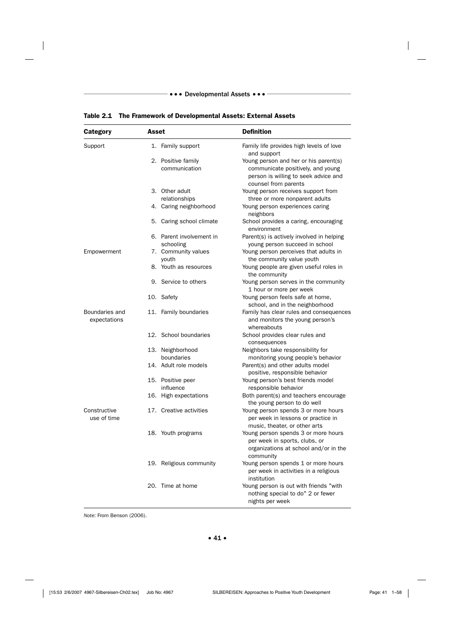| <b>Category</b>                | Asset                                 | <b>Definition</b>                                                                                                                          |
|--------------------------------|---------------------------------------|--------------------------------------------------------------------------------------------------------------------------------------------|
| Support                        | 1. Family support                     | Family life provides high levels of love<br>and support                                                                                    |
|                                | 2. Positive family<br>communication   | Young person and her or his parent(s)<br>communicate positively, and young<br>person is willing to seek advice and<br>counsel from parents |
|                                | 3. Other adult<br>relationships       | Young person receives support from<br>three or more nonparent adults                                                                       |
|                                | 4. Caring neighborhood                | Young person experiences caring<br>neighbors                                                                                               |
|                                | 5. Caring school climate              | School provides a caring, encouraging<br>environment                                                                                       |
|                                | 6. Parent involvement in<br>schooling | Parent(s) is actively involved in helping<br>young person succeed in school                                                                |
| Empowerment                    | 7. Community values<br>youth          | Young person perceives that adults in<br>the community value youth                                                                         |
|                                | 8. Youth as resources                 | Young people are given useful roles in<br>the community                                                                                    |
|                                | 9. Service to others                  | Young person serves in the community<br>1 hour or more per week                                                                            |
|                                | 10. Safety                            | Young person feels safe at home,<br>school, and in the neighborhood                                                                        |
| Boundaries and<br>expectations | 11. Family boundaries                 | Family has clear rules and consequences<br>and monitors the young person's<br>whereabouts                                                  |
|                                | 12. School boundaries                 | School provides clear rules and<br>consequences                                                                                            |
|                                | 13. Neighborhood<br>boundaries        | Neighbors take responsibility for<br>monitoring young people's behavior                                                                    |
|                                | 14. Adult role models                 | Parent(s) and other adults model<br>positive, responsible behavior                                                                         |
|                                | 15. Positive peer<br>influence        | Young person's best friends model<br>responsible behavior                                                                                  |
|                                | 16. High expectations                 | Both parent(s) and teachers encourage<br>the young person to do well                                                                       |
| Constructive<br>use of time    | 17. Creative activities               | Young person spends 3 or more hours<br>per week in lessons or practice in<br>music, theater, or other arts                                 |
|                                | 18. Youth programs                    | Young person spends 3 or more hours<br>per week in sports, clubs, or<br>organizations at school and/or in the<br>community                 |
|                                | 19. Religious community               | Young person spends 1 or more hours<br>per week in activities in a religious<br>institution                                                |
|                                | 20. Time at home                      | Young person is out with friends "with<br>nothing special to do" 2 or fewer<br>nights per week                                             |

Table 2.1 The Framework of Developmental Assets: External Assets

*Note*: From Benson (2006).

#### • 41 •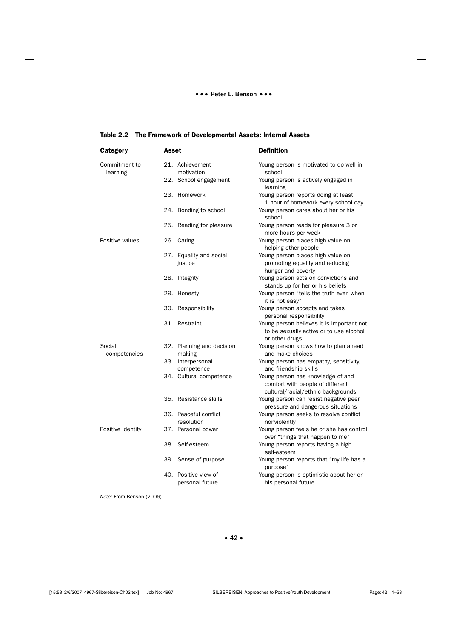Table 2.2 The Framework of Developmental Assets: Internal Assets

| Category                  | Asset                                   | <b>Definition</b>                                                                                           |
|---------------------------|-----------------------------------------|-------------------------------------------------------------------------------------------------------------|
| Commitment to<br>learning | 21. Achievement<br>motivation           | Young person is motivated to do well in<br>school                                                           |
|                           | 22. School engagement                   | Young person is actively engaged in<br>learning                                                             |
|                           | 23. Homework                            | Young person reports doing at least<br>1 hour of homework every school day                                  |
|                           | 24. Bonding to school                   | Young person cares about her or his<br>school                                                               |
|                           | 25. Reading for pleasure                | Young person reads for pleasure 3 or<br>more hours per week                                                 |
| Positive values           | 26. Caring                              | Young person places high value on<br>helping other people                                                   |
|                           | 27. Equality and social<br>justice      | Young person places high value on<br>promoting equality and reducing<br>hunger and poverty                  |
|                           | 28. Integrity                           | Young person acts on convictions and<br>stands up for her or his beliefs                                    |
|                           | 29. Honesty                             | Young person "tells the truth even when<br>it is not easy"                                                  |
|                           | 30. Responsibility                      | Young person accepts and takes<br>personal responsibility                                                   |
|                           | 31. Restraint                           | Young person believes it is important not<br>to be sexually active or to use alcohol<br>or other drugs      |
| Social<br>competencies    | 32. Planning and decision<br>making     | Young person knows how to plan ahead<br>and make choices                                                    |
|                           | 33. Interpersonal<br>competence         | Young person has empathy, sensitivity,<br>and friendship skills                                             |
|                           | 34. Cultural competence                 | Young person has knowledge of and<br>comfort with people of different<br>cultural/racial/ethnic backgrounds |
|                           | 35. Resistance skills                   | Young person can resist negative peer<br>pressure and dangerous situations                                  |
|                           | 36. Peaceful conflict<br>resolution     | Young person seeks to resolve conflict<br>nonviolently                                                      |
| Positive identity         | 37. Personal power                      | Young person feels he or she has control<br>over "things that happen to me"                                 |
|                           | 38. Self-esteem                         | Young person reports having a high<br>self-esteem                                                           |
|                           | 39. Sense of purpose                    | Young person reports that "my life has a<br>purpose"                                                        |
|                           | 40. Positive view of<br>personal future | Young person is optimistic about her or<br>his personal future                                              |

*Note*: From Benson (2006).

• 42 •

 $\overline{\phantom{a}}$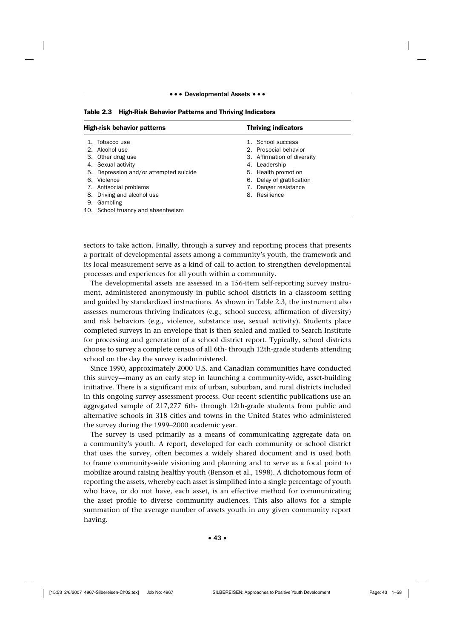|    | <b>High-risk behavior patterns</b>     | <b>Thriving indicators</b>  |  |
|----|----------------------------------------|-----------------------------|--|
|    | Tobacco use                            | 1. School success           |  |
|    | 2. Alcohol use                         | 2. Prosocial behavior       |  |
|    | 3. Other drug use                      | 3. Affirmation of diversity |  |
|    | 4. Sexual activity                     | 4. Leadership               |  |
|    | 5. Depression and/or attempted suicide | 5. Health promotion         |  |
|    | 6. Violence                            | 6. Delay of gratification   |  |
|    | 7. Antisocial problems                 | Danger resistance<br>7.     |  |
|    | 8. Driving and alcohol use             | 8. Resilience               |  |
| 9. | Gambling                               |                             |  |
|    | 10. School truancy and absenteeism     |                             |  |

Table 2.3 High-Risk Behavior Patterns and Thriving Indicators

sectors to take action. Finally, through a survey and reporting process that presents a portrait of developmental assets among a community's youth, the framework and its local measurement serve as a kind of call to action to strengthen developmental processes and experiences for all youth within a community.

The developmental assets are assessed in a 156-item self-reporting survey instrument, administered anonymously in public school districts in a classroom setting and guided by standardized instructions. As shown in Table 2.3, the instrument also assesses numerous thriving indicators (e.g., school success, affirmation of diversity) and risk behaviors (e.g., violence, substance use, sexual activity). Students place completed surveys in an envelope that is then sealed and mailed to Search Institute for processing and generation of a school district report. Typically, school districts choose to survey a complete census of all 6th- through 12th-grade students attending school on the day the survey is administered.

Since 1990, approximately 2000 U.S. and Canadian communities have conducted this survey—many as an early step in launching a community-wide, asset-building initiative. There is a significant mix of urban, suburban, and rural districts included in this ongoing survey assessment process. Our recent scientific publications use an aggregated sample of 217,277 6th- through 12th-grade students from public and alternative schools in 318 cities and towns in the United States who administered the survey during the 1999–2000 academic year.

The survey is used primarily as a means of communicating aggregate data on a community's youth. A report, developed for each community or school district that uses the survey, often becomes a widely shared document and is used both to frame community-wide visioning and planning and to serve as a focal point to mobilize around raising healthy youth (Benson et al., 1998). A dichotomous form of reporting the assets, whereby each asset is simplified into a single percentage of youth who have, or do not have, each asset, is an effective method for communicating the asset profile to diverse community audiences. This also allows for a simple summation of the average number of assets youth in any given community report having.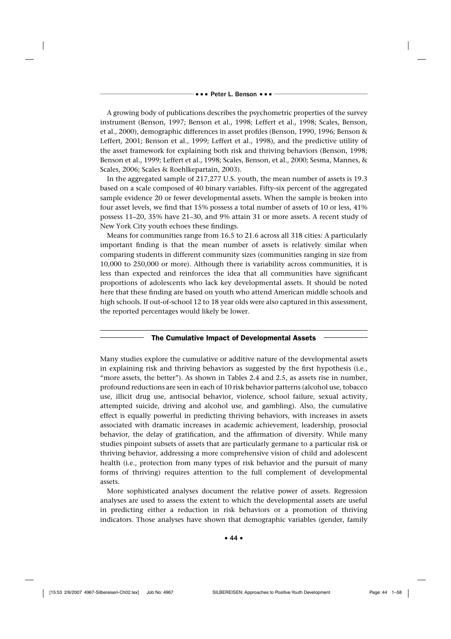A growing body of publications describes the psychometric properties of the survey instrument (Benson, 1997; Benson et al., 1998; Leffert et al., 1998; Scales, Benson, et al., 2000), demographic differences in asset profiles (Benson, 1990, 1996; Benson & Leffert, 2001; Benson et al., 1999; Leffert et al., 1998), and the predictive utility of the asset framework for explaining both risk and thriving behaviors (Benson, 1998; Benson et al., 1999; Leffert et al., 1998; Scales, Benson, et al., 2000; Sesma, Mannes, & Scales, 2006; Scales & Roehlkepartain, 2003).

In the aggregated sample of 217,277 U.S. youth, the mean number of assets is 19.3 based on a scale composed of 40 binary variables. Fifty-six percent of the aggregated sample evidence 20 or fewer developmental assets. When the sample is broken into four asset levels, we find that 15% possess a total number of assets of 10 or less, 41% possess 11–20, 35% have 21–30, and 9% attain 31 or more assets. A recent study of New York City youth echoes these findings.

Means for communities range from 16.5 to 21.6 across all 318 cities: A particularly important finding is that the mean number of assets is relatively similar when comparing students in different community sizes (communities ranging in size from 10,000 to 250,000 or more). Although there is variability across communities, it is less than expected and reinforces the idea that all communities have significant proportions of adolescents who lack key developmental assets. It should be noted here that these finding are based on youth who attend American middle schools and high schools. If out-of-school 12 to 18 year olds were also captured in this assessment, the reported percentages would likely be lower.

#### The Cumulative Impact of Developmental Assets

Many studies explore the cumulative or additive nature of the developmental assets in explaining risk and thriving behaviors as suggested by the first hypothesis (i.e., "more assets, the better"). As shown in Tables 2.4 and 2.5, as assets rise in number, profound reductions are seen in each of 10 risk behavior patterns (alcohol use, tobacco use, illicit drug use, antisocial behavior, violence, school failure, sexual activity, attempted suicide, driving and alcohol use, and gambling). Also, the cumulative effect is equally powerful in predicting thriving behaviors, with increases in assets associated with dramatic increases in academic achievement, leadership, prosocial behavior, the delay of gratification, and the affirmation of diversity. While many studies pinpoint subsets of assets that are particularly germane to a particular risk or thriving behavior, addressing a more comprehensive vision of child and adolescent health (i.e., protection from many types of risk behavior and the pursuit of many forms of thriving) requires attention to the full complement of developmental assets.

More sophisticated analyses document the relative power of assets. Regression analyses are used to assess the extent to which the developmental assets are useful in predicting either a reduction in risk behaviors or a promotion of thriving indicators. Those analyses have shown that demographic variables (gender, family

• 44 •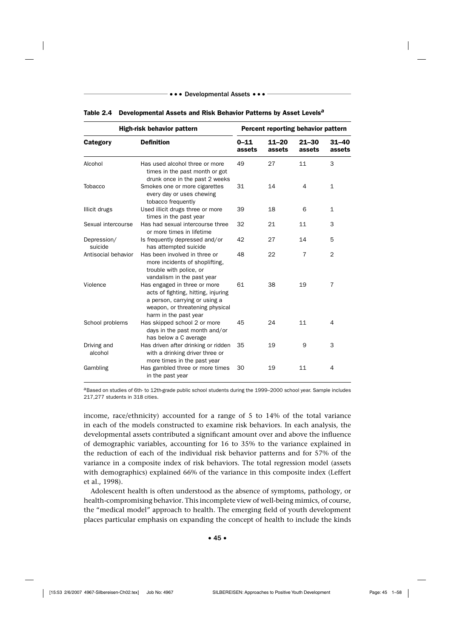| High-risk behavior pattern |                                                                                                                                                                  | Percent reporting behavior pattern |                     |                     |                     |
|----------------------------|------------------------------------------------------------------------------------------------------------------------------------------------------------------|------------------------------------|---------------------|---------------------|---------------------|
| Category                   | <b>Definition</b>                                                                                                                                                | $0 - 11$<br>assets                 | $11 - 20$<br>assets | $21 - 30$<br>assets | $31 - 40$<br>assets |
| Alcohol                    | Has used alcohol three or more<br>times in the past month or got<br>drunk once in the past 2 weeks                                                               | 49                                 | 27                  | 11                  | 3                   |
| Tobacco                    | Smokes one or more cigarettes<br>every day or uses chewing<br>tobacco frequently                                                                                 | 31                                 | 14                  | $\overline{4}$      | $\mathbf{1}$        |
| Illicit drugs              | Used illicit drugs three or more<br>times in the past year                                                                                                       | 39                                 | 18                  | 6                   | $\mathbf{1}$        |
| Sexual intercourse         | Has had sexual intercourse three<br>or more times in lifetime                                                                                                    | 32                                 | 21                  | 11                  | 3                   |
| Depression/<br>suicide     | Is frequently depressed and/or<br>has attempted suicide                                                                                                          | 42                                 | 27                  | 14                  | 5                   |
| Antisocial behavior        | Has been involved in three or<br>more incidents of shoplifting,<br>trouble with police, or<br>vandalism in the past year                                         | 48                                 | 22                  | $\overline{7}$      | $\overline{2}$      |
| Violence                   | Has engaged in three or more<br>acts of fighting, hitting, injuring<br>a person, carrying or using a<br>weapon, or threatening physical<br>harm in the past year | 61                                 | 38                  | 19                  | $\overline{7}$      |
| School problems            | Has skipped school 2 or more<br>days in the past month and/or<br>has below a C average                                                                           | 45                                 | 24                  | 11                  | 4                   |
| Driving and<br>alcohol     | Has driven after drinking or ridden<br>with a drinking driver three or<br>more times in the past year                                                            | 35                                 | 19                  | 9                   | 3                   |
| Gambling                   | Has gambled three or more times<br>in the past year                                                                                                              | 30                                 | 19                  | 11                  | 4                   |

Table 2.4 Developmental Assets and Risk Behavior Patterns by Asset Levels*<sup>a</sup>*

*<sup>a</sup>*Based on studies of 6th- to 12th-grade public school students during the 1999–2000 school year. Sample includes 217,277 students in 318 cities.

income, race/ethnicity) accounted for a range of 5 to 14% of the total variance in each of the models constructed to examine risk behaviors. In each analysis, the developmental assets contributed a significant amount over and above the influence of demographic variables, accounting for 16 to 35% to the variance explained in the reduction of each of the individual risk behavior patterns and for 57% of the variance in a composite index of risk behaviors. The total regression model (assets with demographics) explained 66% of the variance in this composite index (Leffert et al., 1998).

Adolescent health is often understood as the absence of symptoms, pathology, or health-compromising behavior. This incomplete view of well-being mimics, of course, the "medical model" approach to health. The emerging field of youth development places particular emphasis on expanding the concept of health to include the kinds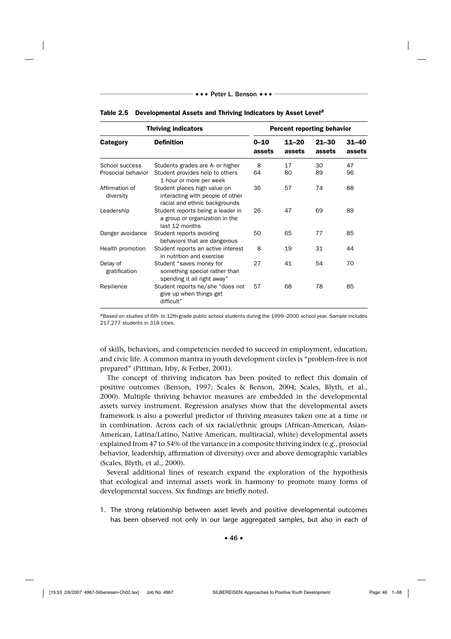| <b>Thriving indicators</b>  |                                                                                                   | <b>Percent reporting behavior</b> |                     |                     |                     |
|-----------------------------|---------------------------------------------------------------------------------------------------|-----------------------------------|---------------------|---------------------|---------------------|
| Category                    | <b>Definition</b>                                                                                 | $0 - 10$<br>assets                | $11 - 20$<br>assets | $21 - 30$<br>assets | $31 - 40$<br>assets |
| School success              | Students grades are A- or higher                                                                  | 8                                 | 17                  | 30                  | 47                  |
| Prosocial behavior          | Student provides help to others<br>1 hour or more per week                                        | 64                                | 80                  | 89                  | 96                  |
| Affirmation of<br>diversity | Student places high value on<br>interacting with people of other<br>racial and ethnic backgrounds | 36                                | 57                  | 74                  | 88                  |
| Leadership                  | Student reports being a leader in<br>a group or organization in the<br>last 12 months             | 26                                | 47                  | 69                  | 89                  |
| Danger avoidance            | Student reports avoiding<br>behaviors that are dangerous                                          | 50                                | 65                  | 77                  | 85                  |
| Health promotion            | Student reports an active interest<br>in nutrition and exercise                                   | 8                                 | 19                  | 31                  | 44                  |
| Delay of<br>gratification   | Student "saves money for<br>something special rather than<br>spending it all right away"          | 27                                | 41                  | 54                  | 70                  |
| Resilience                  | Student reports he/she "does not<br>give up when things get<br>difficult"                         | 57                                | 68                  | 78                  | 85                  |

Table 2.5 Developmental Assets and Thriving Indicators by Asset Level*<sup>a</sup>*

*<sup>a</sup>*Based on studies of 6th- to 12th-grade public school students during the 1999–2000 school year. Sample includes 217,277 students in 318 cities.

of skills, behaviors, and competencies needed to succeed in employment, education, and civic life. A common mantra in youth development circles is "problem-free is not prepared" (Pittman, Irby, & Ferber, 2001).

The concept of thriving indicators has been posited to reflect this domain of positive outcomes (Benson, 1997; Scales & Benson, 2004; Scales, Blyth, et al., 2000). Multiple thriving behavior measures are embedded in the developmental assets survey instrument. Regression analyses show that the developmental assets framework is also a powerful predictor of thriving measures taken one at a time or in combination. Across each of six racial/ethnic groups (African-American, Asian-American, Latina/Latino, Native American, multiracial, white) developmental assets explained from 47 to 54% of the variance in a composite thriving index (e.g., prosocial behavior, leadership, affirmation of diversity) over and above demographic variables (Scales, Blyth, et al., 2000).

Several additional lines of research expand the exploration of the hypothesis that ecological and internal assets work in harmony to promote many forms of developmental success. Six findings are briefly noted.

1. The strong relationship between asset levels and positive developmental outcomes has been observed not only in our large aggregated samples, but also in each of

• 46 •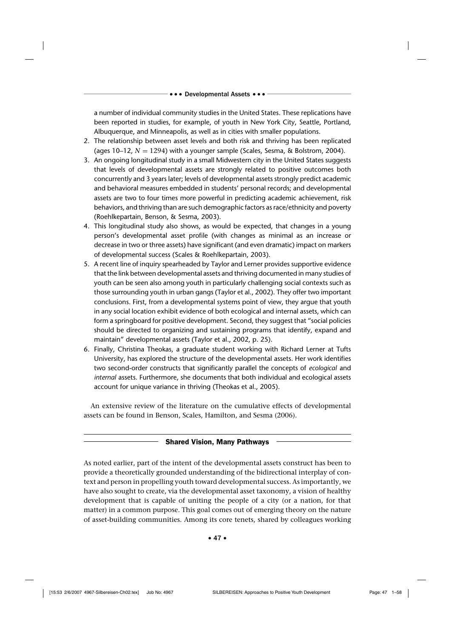a number of individual community studies in the United States. These replications have been reported in studies, for example, of youth in New York City, Seattle, Portland, Albuquerque, and Minneapolis, as well as in cities with smaller populations.

- 2. The relationship between asset levels and both risk and thriving has been replicated (ages 10–12,  $N = 1294$ ) with a younger sample (Scales, Sesma, & Bolstrom, 2004).
- 3. An ongoing longitudinal study in a small Midwestern city in the United States suggests that levels of developmental assets are strongly related to positive outcomes both concurrently and 3 years later; levels of developmental assets strongly predict academic and behavioral measures embedded in students' personal records; and developmental assets are two to four times more powerful in predicting academic achievement, risk behaviors, and thriving than are such demographic factors as race/ethnicity and poverty (Roehlkepartain, Benson, & Sesma, 2003).
- 4. This longitudinal study also shows, as would be expected, that changes in a young person's developmental asset profile (with changes as minimal as an increase or decrease in two or three assets) have significant (and even dramatic) impact on markers of developmental success (Scales & Roehlkepartain, 2003).
- 5. A recent line of inquiry spearheaded by Taylor and Lerner provides supportive evidence that the link between developmental assets and thriving documented in many studies of youth can be seen also among youth in particularly challenging social contexts such as those surrounding youth in urban gangs (Taylor et al., 2002). They offer two important conclusions. First, from a developmental systems point of view, they argue that youth in any social location exhibit evidence of both ecological and internal assets, which can form a springboard for positive development. Second, they suggest that "social policies should be directed to organizing and sustaining programs that identify, expand and maintain" developmental assets (Taylor et al., 2002, p. 25).
- 6. Finally, Christina Theokas, a graduate student working with Richard Lerner at Tufts University, has explored the structure of the developmental assets. Her work identifies two second-order constructs that significantly parallel the concepts of *ecological* and *internal* assets. Furthermore, she documents that both individual and ecological assets account for unique variance in thriving (Theokas et al., 2005).

An extensive review of the literature on the cumulative effects of developmental assets can be found in Benson, Scales, Hamilton, and Sesma (2006).

#### Shared Vision, Many Pathways

As noted earlier, part of the intent of the developmental assets construct has been to provide a theoretically grounded understanding of the bidirectional interplay of context and person in propelling youth toward developmental success. As importantly, we have also sought to create, via the developmental asset taxonomy, a vision of healthy development that is capable of uniting the people of a city (or a nation, for that matter) in a common purpose. This goal comes out of emerging theory on the nature of asset-building communities. Among its core tenets, shared by colleagues working

#### • 47 •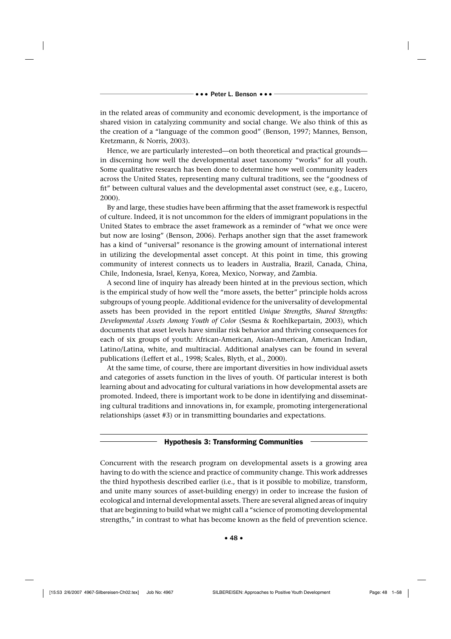in the related areas of community and economic development, is the importance of shared vision in catalyzing community and social change. We also think of this as the creation of a "language of the common good" (Benson, 1997; Mannes, Benson, Kretzmann, & Norris, 2003).

Hence, we are particularly interested—on both theoretical and practical grounds in discerning how well the developmental asset taxonomy "works" for all youth. Some qualitative research has been done to determine how well community leaders across the United States, representing many cultural traditions, see the "goodness of fit" between cultural values and the developmental asset construct (see, e.g., Lucero, 2000).

By and large, these studies have been affirming that the asset framework is respectful of culture. Indeed, it is not uncommon for the elders of immigrant populations in the United States to embrace the asset framework as a reminder of "what we once were but now are losing" (Benson, 2006). Perhaps another sign that the asset framework has a kind of "universal" resonance is the growing amount of international interest in utilizing the developmental asset concept. At this point in time, this growing community of interest connects us to leaders in Australia, Brazil, Canada, China, Chile, Indonesia, Israel, Kenya, Korea, Mexico, Norway, and Zambia.

A second line of inquiry has already been hinted at in the previous section, which is the empirical study of how well the "more assets, the better" principle holds across subgroups of young people. Additional evidence for the universality of developmental assets has been provided in the report entitled *Unique Strengths, Shared Strengths: Developmental Assets Among Youth of Color* (Sesma & Roehlkepartain, 2003), which documents that asset levels have similar risk behavior and thriving consequences for each of six groups of youth: African-American, Asian-American, American Indian, Latino/Latina, white, and multiracial. Additional analyses can be found in several publications (Leffert et al., 1998; Scales, Blyth, et al., 2000).

At the same time, of course, there are important diversities in how individual assets and categories of assets function in the lives of youth. Of particular interest is both learning about and advocating for cultural variations in how developmental assets are promoted. Indeed, there is important work to be done in identifying and disseminating cultural traditions and innovations in, for example, promoting intergenerational relationships (asset #3) or in transmitting boundaries and expectations.

#### Hypothesis 3: Transforming Communities

Concurrent with the research program on developmental assets is a growing area having to do with the science and practice of community change. This work addresses the third hypothesis described earlier (i.e., that is it possible to mobilize, transform, and unite many sources of asset-building energy) in order to increase the fusion of ecological and internal developmental assets. There are several aligned areas of inquiry that are beginning to build what we might call a "science of promoting developmental strengths," in contrast to what has become known as the field of prevention science.

• 48 •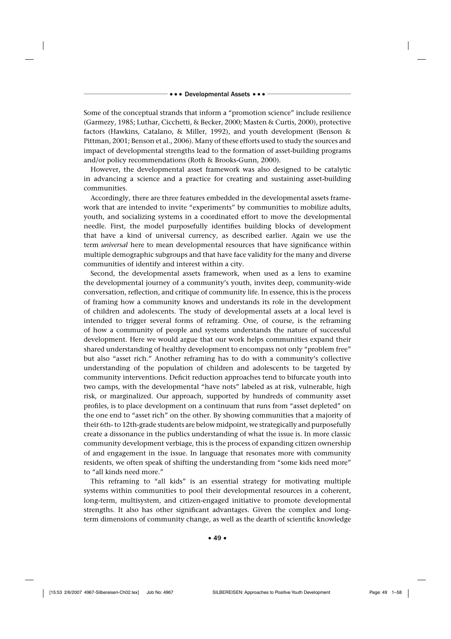Some of the conceptual strands that inform a "promotion science" include resilience (Garmezy, 1985; Luthar, Cicchetti, & Becker, 2000; Masten & Curtis, 2000), protective factors (Hawkins, Catalano, & Miller, 1992), and youth development (Benson & Pittman, 2001; Benson et al., 2006). Many of these efforts used to study the sources and impact of developmental strengths lead to the formation of asset-building programs and/or policy recommendations (Roth & Brooks-Gunn, 2000).

However, the developmental asset framework was also designed to be catalytic in advancing a science and a practice for creating and sustaining asset-building communities.

Accordingly, there are three features embedded in the developmental assets framework that are intended to invite "experiments" by communities to mobilize adults, youth, and socializing systems in a coordinated effort to move the developmental needle. First, the model purposefully identifies building blocks of development that have a kind of universal currency, as described earlier. Again we use the term *universal* here to mean developmental resources that have significance within multiple demographic subgroups and that have face validity for the many and diverse communities of identify and interest within a city.

Second, the developmental assets framework, when used as a lens to examine the developmental journey of a community's youth, invites deep, community-wide conversation, reflection, and critique of community life. In essence, this is the process of framing how a community knows and understands its role in the development of children and adolescents. The study of developmental assets at a local level is intended to trigger several forms of reframing. One, of course, is the reframing of how a community of people and systems understands the nature of successful development. Here we would argue that our work helps communities expand their shared understanding of healthy development to encompass not only "problem free" but also "asset rich." Another reframing has to do with a community's collective understanding of the population of children and adolescents to be targeted by community interventions. Deficit reduction approaches tend to bifurcate youth into two camps, with the developmental "have nots" labeled as at risk, vulnerable, high risk, or marginalized. Our approach, supported by hundreds of community asset profiles, is to place development on a continuum that runs from "asset depleted" on the one end to "asset rich" on the other. By showing communities that a majority of their 6th- to 12th-grade students are below midpoint, we strategically and purposefully create a dissonance in the publics understanding of what the issue is. In more classic community development verbiage, this is the process of expanding citizen ownership of and engagement in the issue. In language that resonates more with community residents, we often speak of shifting the understanding from "some kids need more" to "all kinds need more."

This reframing to "all kids" is an essential strategy for motivating multiple systems within communities to pool their developmental resources in a coherent, long-term, multisystem, and citizen-engaged initiative to promote developmental strengths. It also has other significant advantages. Given the complex and longterm dimensions of community change, as well as the dearth of scientific knowledge

#### • 49 •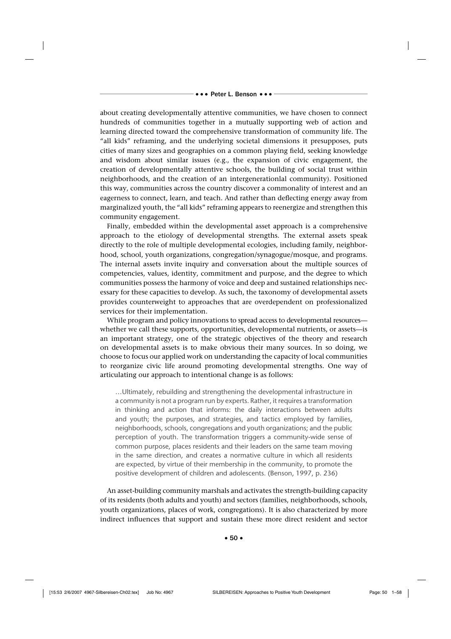about creating developmentally attentive communities, we have chosen to connect hundreds of communities together in a mutually supporting web of action and learning directed toward the comprehensive transformation of community life. The "all kids" reframing, and the underlying societal dimensions it presupposes, puts cities of many sizes and geographies on a common playing field, seeking knowledge and wisdom about similar issues (e.g., the expansion of civic engagement, the creation of developmentally attentive schools, the building of social trust within neighborhoods, and the creation of an intergenerationlal community). Positioned this way, communities across the country discover a commonality of interest and an eagerness to connect, learn, and teach. And rather than deflecting energy away from marginalized youth, the "all kids" reframing appears to reenergize and strengthen this community engagement.

Finally, embedded within the developmental asset approach is a comprehensive approach to the etiology of developmental strengths. The external assets speak directly to the role of multiple developmental ecologies, including family, neighborhood, school, youth organizations, congregation/synagogue/mosque, and programs. The internal assets invite inquiry and conversation about the multiple sources of competencies, values, identity, commitment and purpose, and the degree to which communities possess the harmony of voice and deep and sustained relationships necessary for these capacities to develop. As such, the taxonomy of developmental assets provides counterweight to approaches that are overdependent on professionalized services for their implementation.

While program and policy innovations to spread access to developmental resources whether we call these supports, opportunities, developmental nutrients, or assets—is an important strategy, one of the strategic objectives of the theory and research on developmental assets is to make obvious their many sources. In so doing, we choose to focus our applied work on understanding the capacity of local communities to reorganize civic life around promoting developmental strengths. One way of articulating our approach to intentional change is as follows:

…Ultimately, rebuilding and strengthening the developmental infrastructure in a community is not a program run by experts. Rather, it requires a transformation in thinking and action that informs: the daily interactions between adults and youth; the purposes, and strategies, and tactics employed by families, neighborhoods, schools, congregations and youth organizations; and the public perception of youth. The transformation triggers a community-wide sense of common purpose, places residents and their leaders on the same team moving in the same direction, and creates a normative culture in which all residents are expected, by virtue of their membership in the community, to promote the positive development of children and adolescents. (Benson, 1997, p. 236)

An asset-building community marshals and activates the strength-building capacity of its residents (both adults and youth) and sectors (families, neighborhoods, schools, youth organizations, places of work, congregations). It is also characterized by more indirect influences that support and sustain these more direct resident and sector

• 50 •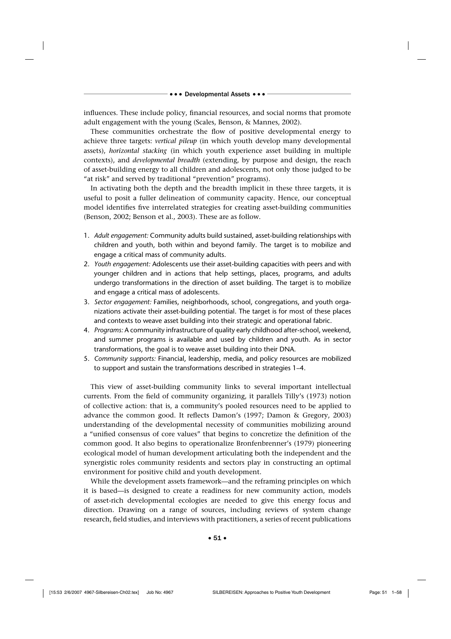influences. These include policy, financial resources, and social norms that promote adult engagement with the young (Scales, Benson, & Mannes, 2002).

These communities orchestrate the flow of positive developmental energy to achieve three targets: *vertical pileup* (in which youth develop many developmental assets), *horizontal stacking* (in which youth experience asset building in multiple contexts), and *developmental breadth* (extending, by purpose and design, the reach of asset-building energy to all children and adolescents, not only those judged to be "at risk" and served by traditional "prevention" programs).

In activating both the depth and the breadth implicit in these three targets, it is useful to posit a fuller delineation of community capacity. Hence, our conceptual model identifies five interrelated strategies for creating asset-building communities (Benson, 2002; Benson et al., 2003). These are as follow.

- 1. *Adult engagement:* Community adults build sustained, asset-building relationships with children and youth, both within and beyond family. The target is to mobilize and engage a critical mass of community adults.
- 2. *Youth engagement:* Adolescents use their asset-building capacities with peers and with younger children and in actions that help settings, places, programs, and adults undergo transformations in the direction of asset building. The target is to mobilize and engage a critical mass of adolescents.
- 3. *Sector engagement:* Families, neighborhoods, school, congregations, and youth organizations activate their asset-building potential. The target is for most of these places and contexts to weave asset building into their strategic and operational fabric.
- 4. *Programs:* A community infrastructure of quality early childhood after-school, weekend, and summer programs is available and used by children and youth. As in sector transformations, the goal is to weave asset building into their DNA.
- 5. *Community supports:* Financial, leadership, media, and policy resources are mobilized to support and sustain the transformations described in strategies 1–4.

This view of asset-building community links to several important intellectual currents. From the field of community organizing, it parallels Tilly's (1973) notion of collective action: that is, a community's pooled resources need to be applied to advance the common good. It reflects Damon's (1997; Damon & Gregory, 2003) understanding of the developmental necessity of communities mobilizing around a "unified consensus of core values" that begins to concretize the definition of the common good. It also begins to operationalize Bronfenbrenner's (1979) pioneering ecological model of human development articulating both the independent and the synergistic roles community residents and sectors play in constructing an optimal environment for positive child and youth development.

While the development assets framework—and the reframing principles on which it is based—is designed to create a readiness for new community action, models of asset-rich developmental ecologies are needed to give this energy focus and direction. Drawing on a range of sources, including reviews of system change research, field studies, and interviews with practitioners, a series of recent publications

#### • 51 •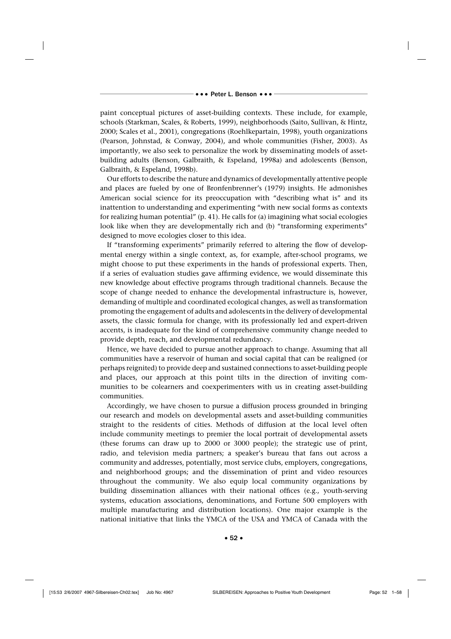paint conceptual pictures of asset-building contexts. These include, for example, schools (Starkman, Scales, & Roberts, 1999), neighborhoods (Saito, Sullivan, & Hintz, 2000; Scales et al., 2001), congregations (Roehlkepartain, 1998), youth organizations (Pearson, Johnstad, & Conway, 2004), and whole communities (Fisher, 2003). As importantly, we also seek to personalize the work by disseminating models of assetbuilding adults (Benson, Galbraith, & Espeland, 1998a) and adolescents (Benson, Galbraith, & Espeland, 1998b).

Our efforts to describe the nature and dynamics of developmentally attentive people and places are fueled by one of Bronfenbrenner's (1979) insights. He admonishes American social science for its preoccupation with "describing what is" and its inattention to understanding and experimenting "with new social forms as contexts for realizing human potential" (p. 41). He calls for (a) imagining what social ecologies look like when they are developmentally rich and (b) "transforming experiments" designed to move ecologies closer to this idea.

If "transforming experiments" primarily referred to altering the flow of developmental energy within a single context, as, for example, after-school programs, we might choose to put these experiments in the hands of professional experts. Then, if a series of evaluation studies gave affirming evidence, we would disseminate this new knowledge about effective programs through traditional channels. Because the scope of change needed to enhance the developmental infrastructure is, however, demanding of multiple and coordinated ecological changes, as well as transformation promoting the engagement of adults and adolescents in the delivery of developmental assets, the classic formula for change, with its professionally led and expert-driven accents, is inadequate for the kind of comprehensive community change needed to provide depth, reach, and developmental redundancy.

Hence, we have decided to pursue another approach to change. Assuming that all communities have a reservoir of human and social capital that can be realigned (or perhaps reignited) to provide deep and sustained connections to asset-building people and places, our approach at this point tilts in the direction of inviting communities to be colearners and coexperimenters with us in creating asset-building communities.

Accordingly, we have chosen to pursue a diffusion process grounded in bringing our research and models on developmental assets and asset-building communities straight to the residents of cities. Methods of diffusion at the local level often include community meetings to premier the local portrait of developmental assets (these forums can draw up to 2000 or 3000 people); the strategic use of print, radio, and television media partners; a speaker's bureau that fans out across a community and addresses, potentially, most service clubs, employers, congregations, and neighborhood groups; and the dissemination of print and video resources throughout the community. We also equip local community organizations by building dissemination alliances with their national offices (e.g., youth-serving systems, education associations, denominations, and Fortune 500 employers with multiple manufacturing and distribution locations). One major example is the national initiative that links the YMCA of the USA and YMCA of Canada with the

• 52 •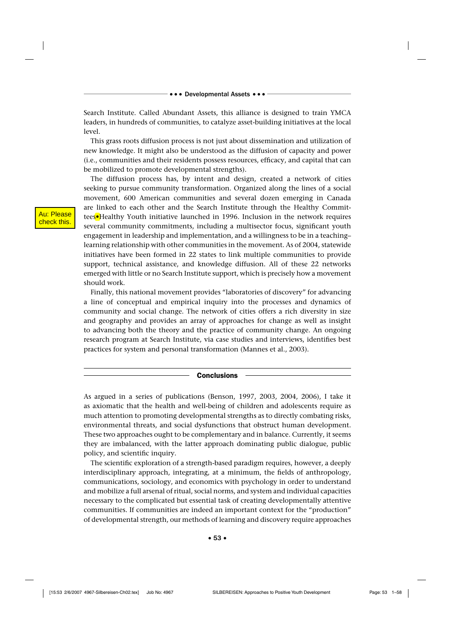Search Institute. Called Abundant Assets, this alliance is designed to train YMCA leaders, in hundreds of communities, to catalyze asset-building initiatives at the local level.

This grass roots diffusion process is not just about dissemination and utilization of new knowledge. It might also be understood as the diffusion of capacity and power (i.e., communities and their residents possess resources, efficacy, and capital that can be mobilized to promote developmental strengths).

The diffusion process has, by intent and design, created a network of cities seeking to pursue community transformation. Organized along the lines of a social movement, 600 American communities and several dozen emerging in Canada are linked to each other and the Search Institute through the Healthy Committees•Healthy Youth initiative launched in 1996. Inclusion in the network requires several community commitments, including a multisector focus, significant youth engagement in leadership and implementation, and a willingness to be in a teaching– learning relationship with other communities in the movement. As of 2004, statewide initiatives have been formed in 22 states to link multiple communities to provide support, technical assistance, and knowledge diffusion. All of these 22 networks emerged with little or no Search Institute support, which is precisely how a movement should work.

Finally, this national movement provides "laboratories of discovery" for advancing a line of conceptual and empirical inquiry into the processes and dynamics of community and social change. The network of cities offers a rich diversity in size and geography and provides an array of approaches for change as well as insight to advancing both the theory and the practice of community change. An ongoing research program at Search Institute, via case studies and interviews, identifies best practices for system and personal transformation (Mannes et al., 2003).

#### **Conclusions**

As argued in a series of publications (Benson, 1997, 2003, 2004, 2006), I take it as axiomatic that the health and well-being of children and adolescents require as much attention to promoting developmental strengths as to directly combating risks, environmental threats, and social dysfunctions that obstruct human development. These two approaches ought to be complementary and in balance. Currently, it seems they are imbalanced, with the latter approach dominating public dialogue, public policy, and scientific inquiry.

The scientific exploration of a strength-based paradigm requires, however, a deeply interdisciplinary approach, integrating, at a minimum, the fields of anthropology, communications, sociology, and economics with psychology in order to understand and mobilize a full arsenal of ritual, social norms, and system and individual capacities necessary to the complicated but essential task of creating developmentally attentive communities. If communities are indeed an important context for the "production" of developmental strength, our methods of learning and discovery require approaches

Au: Please check this.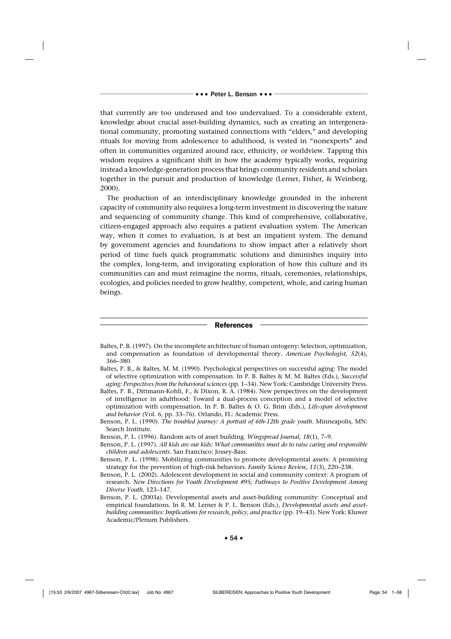that currently are too underused and too undervalued. To a considerable extent, knowledge about crucial asset-building dynamics, such as creating an intergenerational community, promoting sustained connections with "elders," and developing rituals for moving from adolescence to adulthood, is vested in "nonexperts" and often in communities organized around race, ethnicity, or worldview. Tapping this wisdom requires a significant shift in how the academy typically works, requiring instead a knowledge-generation process that brings community residents and scholars together in the pursuit and production of knowledge (Lerner, Fisher, & Weinberg, 2000).

The production of an interdisciplinary knowledge grounded in the inherent capacity of community also requires a long-term investment in discovering the nature and sequencing of community change. This kind of comprehensive, collaborative, citizen-engaged approach also requires a patient evaluation system. The American way, when it comes to evaluation, is at best an impatient system. The demand by government agencies and foundations to show impact after a relatively short period of time fuels quick programmatic solutions and diminishes inquiry into the complex, long-term, and invigorating exploration of how this culture and its communities can and must reimagine the norms, rituals, ceremonies, relationships, ecologies, and policies needed to grow healthy, competent, whole, and caring human beings.

#### References

- Baltes, P. B. (1997). On the incomplete architecture of human ontogeny: Selection, optimization, and compensation as foundation of developmental theory. *American Psychologist, 52*(4), 366–380.
- Baltes, P. B., & Baltes, M. M. (1990). Psychological perspectives on successful aging: The model of selective optimization with compensation. In P. B. Baltes & M. M. Baltes (Eds.), *Successful aging: Perspectives from the behavioral sciences* (pp. 1–34). New York: Cambridge University Press.
- Baltes, P. B., Dittmann-Kohli, F., & Dixon, R. A. (1984). New perspectives on the development of intelligence in adulthood: Toward a dual-process conception and a model of selective optimization with compensation. In P. B. Baltes & O. G. Brim (Eds.), *Life-span development and behavior* (Vol. 6, pp. 33–76). Orlando, FL: Academic Press.
- Benson, P. L. (1990). *The troubled journey: A portrait of 6th-12th grade youth*. Minneapolis, MN: Search Institute.
- Benson, P. L. (1996). Random acts of asset building. *Wingspread Journal, 18*(1), 7–9.
- Benson, P. L. (1997). *All kids are our kids: What communities must do to raise caring and responsible children and adolescents*. San Francisco: Jossey-Bass.
- Benson, P. L. (1998). Mobilizing communities to promote developmental assets: A promising strategy for the prevention of high-risk behaviors. *Family Science Review, 11*(3), 220–238.
- Benson, P. L. (2002). Adolescent development in social and community context: A program of research. *New Directions for Youth Development #95; Pathways to Positive Development Among Diverse Youth,* 123–147.
- Benson, P. L. (2003a). Developmental assets and asset-building community: Conceptual and empirical foundations. In R. M. Lerner & P. L. Benson (Eds.), *Developmental assets and assetbuilding communities: Implications for research, policy, and practice* (pp. 19–43). New York: Kluwer Academic/Plenum Publishers.

• 54 •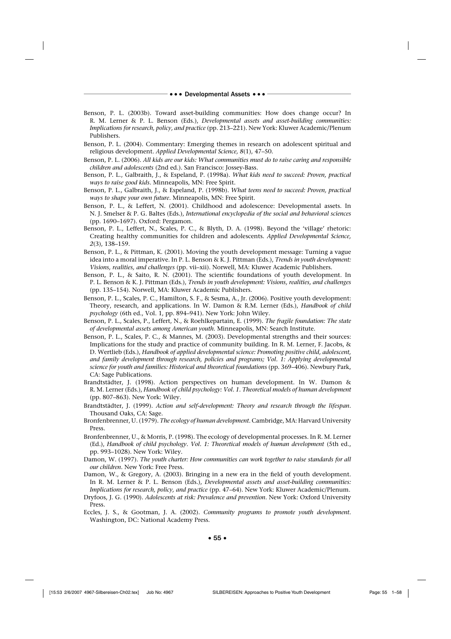- Benson, P. L. (2003b). Toward asset-building communities: How does change occur? In R. M. Lerner & P. L. Benson (Eds.), *Developmental assets and asset-building communities: Implications for research, policy, and practice* (pp. 213–221). New York: Kluwer Academic/Plenum Publishers.
- Benson, P. L. (2004). Commentary: Emerging themes in research on adolescent spiritual and religious development. *Applied Developmental Science, 8*(1), 47–50.
- Benson, P. L. (2006). *All kids are our kids: What communities must do to raise caring and responsible children and adolescents* (2nd ed.). San Francisco: Jossey-Bass.
- Benson, P. L., Galbraith, J., & Espeland, P. (1998a). *What kids need to succeed: Proven, practical ways to raise good kids*. Minneapolis, MN: Free Spirit.
- Benson, P. L., Galbraith, J., & Espeland, P. (1998b). *What teens need to succeed: Proven, practical ways to shape your own future*. Minneapolis, MN: Free Spirit.
- Benson, P. L., & Leffert, N. (2001). Childhood and adolescence: Developmental assets. In N. J. Smelser & P. G. Baltes (Eds.), *International encyclopedia of the social and behavioral sciences* (pp. 1690–1697). Oxford: Pergamon.
- Benson, P. L., Leffert, N., Scales, P. C., & Blyth, D. A. (1998). Beyond the 'village' rhetoric: Creating healthy communities for children and adolescents. *Applied Developmental Science, 2*(3), 138–159.
- Benson, P. L., & Pittman, K. (2001). Moving the youth development message: Turning a vague idea into a moral imperative. In P. L. Benson & K. J. Pittman (Eds.), *Trends in youth development: Visions, realities, and challenges* (pp. vii–xii). Norwell, MA: Kluwer Academic Publishers.
- Benson, P. L., & Saito, R. N. (2001). The scientific foundations of youth development. In P. L. Benson & K. J. Pittman (Eds.), *Trends in youth development: Visions, realities, and challenges* (pp. 135–154). Norwell, MA: Kluwer Academic Publishers.
- Benson, P. L., Scales, P. C., Hamilton, S. F., & Sesma, A., Jr. (2006). Positive youth development: Theory, research, and applications. In W. Damon & R.M. Lerner (Eds.), *Handbook of child psychology* (6th ed., Vol. 1, pp. 894–941). New York: John Wiley.
- Benson, P. L., Scales, P., Leffert, N., & Roehlkepartain, E. (1999). *The fragile foundation: The state of developmental assets among American youth*. Minneapolis, MN: Search Institute.
- Benson, P. L., Scales, P. C., & Mannes, M. (2003). Developmental strengths and their sources: Implications for the study and practice of community building. In R. M. Lerner, F. Jacobs, & D. Wertlieb (Eds.), *Handbook of applied developmental science: Promoting positive child, adolescent, and family development through research, policies and programs; Vol. 1: Applying developmental science for youth and families: Historical and theoretical foundations* (pp. 369–406). Newbury Park, CA: Sage Publications.
- Brandtstädter, J. (1998). Action perspectives on human development. In W. Damon & R. M. Lerner (Eds.), *Handbook of child psychology: Vol. 1. Theoretical models of human development* (pp. 807–863). New York: Wiley.
- Brandtstädter, J. (1999). *Action and self-development: Theory and research through the lifespan*. Thousand Oaks, CA: Sage.
- Bronfenbrenner, U. (1979). *The ecology of human development*. Cambridge, MA: Harvard University Press.
- Bronfenbrenner, U., & Morris, P. (1998). The ecology of developmental processes. In R. M. Lerner (Ed.), *Handbook of child psychology. Vol. 1: Theoretical models of human development* (5th ed., pp. 993–1028). New York: Wiley.
- Damon, W. (1997). *The youth charter: How communities can work together to raise standards for all our children*. New York: Free Press.
- Damon, W., & Gregory, A. (2003). Bringing in a new era in the field of youth development. In R. M. Lerner & P. L. Benson (Eds.), *Developmental assets and asset-building communities: Implications for research, policy, and practice* (pp. 47–64). New York: Kluwer Academic/Plenum.
- Dryfoos, J. G. (1990). *Adolescents at risk: Prevalence and prevention*. New York: Oxford University Press.
- Eccles, J. S., & Gootman, J. A. (2002). *Community programs to promote youth development*. Washington, DC: National Academy Press.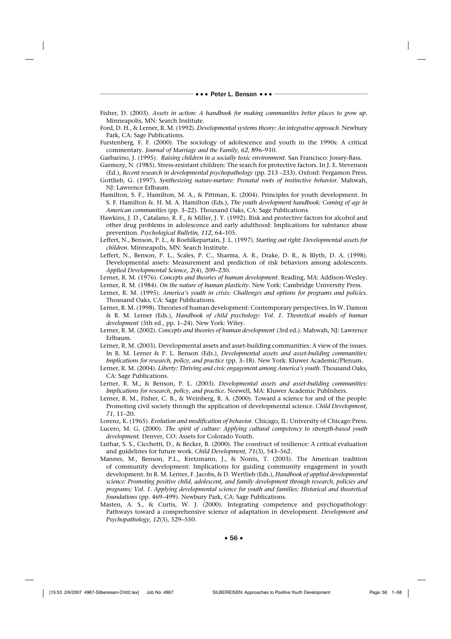Fisher, D. (2003). *Assets in action: A handbook for making communities better places to grow up.* Minneapolis, MN: Search Institute.

Ford, D. H., & Lerner, R. M. (1992). *Developmental systems theory: An integrative approach*. Newbury Park, CA: Sage Publications.

Furstenberg, F. F. (2000). The sociology of adolescence and youth in the 1990s: A critical commentary. *Journal of Marriage and the Family, 62*, 896–910.

Garbarino, J. (1995). *Raising children in a socially toxic environment*. San Francisco: Jossey-Bass.

Garmezy, N. (1985). Stress-resistant children: The search for protective factors. In J. E. Stevenson (Ed.), *Recent research in developmental psychopathology* (pp. 213 –233). Oxford: Pergamon Press. Gottlieb, G. (1997). *Synthesizing nature-nurture: Prenatal roots of instinctive behavior*. Mahwah,

NJ: Lawrence Erlbaum.

- Hamilton, S. F., Hamilton, M. A., & Pittman, K. (2004). Principles for youth development. In S. F. Hamilton &. H. M. A. Hamilton (Eds.), *The youth development handbook: Coming of age in American communities* (pp. 3–22). Thousand Oaks, CA: Sage Publications.
- Hawkins, J. D., Catalano, R. F., & Miller, J. Y. (1992). Risk and protective factors for alcohol and other drug problems in adolescence and early adulthood: Implications for substance abuse prevention. *Psychological Bulletin, 112*, 64–105.
- Leffert, N., Benson, P. L., & Roehlkepartain, J. L. (1997). *Starting out right: Developmental assets for children*. Minneapolis, MN: Search Institute.
- Leffert, N., Benson, P. L., Scales, P. C., Sharma, A. R., Drake, D. R., & Blyth, D. A. (1998). Developmental assets: Measurement and prediction of risk behaviors among adolescents. *Applied Developmental Science, 2*(4), 209–230.
- Lerner, R. M. (1976). *Concepts and theories of human development*. Reading, MA: Addison-Wesley.

Lerner, R. M. (1984). *On the nature of human plasticity*. New York: Cambridge University Press.

- Lerner, R. M. (1995). *America's youth in crisis: Challenges and options for programs and policies*. Thousand Oaks, CA: Sage Publications.
- Lerner, R. M. (1998). Theories of human development: Contemporary perspectives. In W. Damon & R. M. Lerner (Eds.), *Handbook of child psychology: Vol. 1. Theoretical models of human development* (5th ed., pp. 1–24). New York: Wiley.
- Lerner, R. M. (2002). *Concepts and theories of human development* (3rd ed.). Mahwah, NJ: Lawrence Erlbaum.
- Lerner, R. M. (2003). Developmental assets and asset-building communities: A view of the issues. In R. M. Lerner & P. L. Benson (Eds.), *Developmental assets and asset-building communities: Implications for research, policy, and practice* (pp. 3–18). New York: Kluwer Academic/Plenum.
- Lerner, R. M. (2004). *Liberty: Thriving and civic engagement among America's youth*. Thousand Oaks, CA: Sage Publications.
- Lerner, R. M., & Benson, P. L. (2003). *Developmental assets and asset-building communities: Implications for research, policy, and practice.* Norwell, MA: Kluwer Academic Publishers.
- Lerner, R. M., Fisher, C. B., & Weinberg, R. A. (2000). Toward a science for and of the people: Promoting civil society through the application of developmental science. *Child Development, 71*, 11–20.

Lorenz, K. (1965). *Evolution and modification of behavior*. Chicago, IL: University of Chicago Press.

- Lucero, M. G. (2000). *The spirit of culture: Applying cultural competency to strength-based youth development.* Denver, CO: Assets for Colorado Youth.
- Luthar, S. S., Cicchetti, D., & Becker, B. (2000). The construct of resilience: A critical evaluation and guidelines for future work. *Child Development, 71*(3), 543–562.
- Mannes, M., Benson, P.L., Kretzmann, J., & Norris, T. (2003). The American tradition of community development: Implications for guiding community engagement in youth development. In R. M. Lerner, F. Jacobs, & D. Wertlieb (Eds.), *Handbook of applied developmental science: Promoting positive child, adolescent, and family development through research, policies and programs; Vol. 1. Applying developmental science for youth and families: Historical and theoretical foundations* (pp. 469–499). Newbury Park, CA: Sage Publications.
- Masten, A. S., & Curtis, W. J. (2000). Integrating competence and psychopathology: Pathways toward a comprehensive science of adaptation in development. *Development and Psychopathology, 12*(3), 529–550.

• 56 •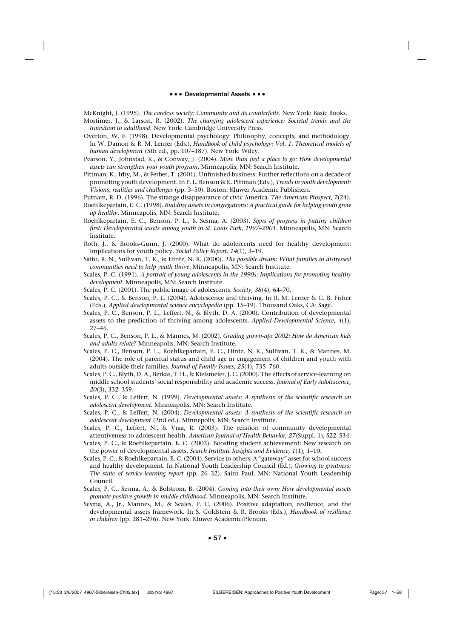McKnight, J. (1995). *The careless society: Community and its counterfeits*. New York: Basic Books.

- Mortimer, J., & Larson, R. (2002). *The changing adolescent experience: Societal trends and the transition to adulthood*. New York: Cambridge University Press.
- Overton, W. F. (1998). Developmental psychology: Philosophy, concepts, and methodology. In W. Damon & R. M. Lerner (Eds.), *Handbook of child psychology: Vol. 1. Theoretical models of human development* (5th ed., pp. 107–187). New York: Wiley.
- Pearson, Y., Johnstad, K., & Conway, J. (2004). *More than just a place to go: How developmental assets can strengthen your youth program*. Minneapolis, MN: Search Institute.
- Pittman, K., Irby, M., & Ferber, T. (2001). Unfinished business: Further reflections on a decade of promoting youth development. In P. L. Benson & K. Pittman (Eds.), *Trends in youth development: Visions, realities and challenges* (pp. 3–50). Boston: Kluwer Academic Publishers.
- Putnam, R. D. (1996). The strange disappearance of civic America. *The American Prospect*, *7*(24). Roehlkepartain, E. C. (1998). *Building assets in congregations: A practical guide for helping youth grow*
	- *up healthy*. Minneapolis, MN: Search Institute.
- Roehlkepartain, E. C., Benson, P. L., & Sesma, A. (2003). *Signs of progress in putting children first: Developmental assets among youth in St. Louis Park, 1997–2001*. Minneapolis, MN: Search Institute.
- Roth, J., & Brooks-Gunn, J. (2000). What do adolescents need for healthy development: Implications for youth policy. *Social Policy Report, 14*(1), 3–19.
- Saito, R. N., Sullivan, T. K., & Hintz, N. R. (2000). *The possible dream: What families in distressed communities need to help youth thrive*. Minneapolis, MN: Search Institute.
- Scales, P. C. (1991). *A portrait of young adolescents in the 1990s*: *Implications for promoting healthy development*. Minneapolis, MN: Search Institute.
- Scales, P. C. (2001). The public image of adolescents. *Society*, *38*(4), 64–70.
- Scales, P. C., & Benson, P. L. (2004). Adolescence and thriving. In R. M. Lerner & C. B. Fisher (Eds.), *Applied developmental science encyclopedia* (pp. 15–19). Thousand Oaks, CA: Sage.
- Scales, P. C., Benson, P. L., Leffert, N., & Blyth, D. A. (2000). Contribution of developmental assets to the prediction of thriving among adolescents. *Applied Developmental Science, 4*(1), 27–46.
- Scales, P. C., Benson, P. L., & Mannes, M. (2002). *Grading grown-ups 2002: How do American kids and adults relate?* Minneapolis, MN: Search Institute.
- Scales, P. C., Benson, P. L., Roehlkepartain, E. C., Hintz, N. R., Sullivan, T. K., & Mannes, M. (2004). The role of parental status and child age in engagement of children and youth with adults outside their families. *Journal of Family Issues, 25*(4), 735–760.
- Scales, P. C., Blyth, D. A., Berkas, T. H., & Kielsmeier, J. C. (2000). The effects of service-learning on middle school students' social responsibility and academic success. *Journal of Early Adolescence, 20*(3), 332–359.
- Scales, P. C., & Leffert, N. (1999). *Developmental assets: A synthesis of the scientific research on adolescent development*. Minneapolis, MN: Search Institute.
- Scales, P. C., & Leffert, N. (2004). *Developmental assets: A synthesis of the scientific research on adolescent development* (2nd ed.). Minnepolis, MN: Search Institute.
- Scales, P. C., Leffert, N., & Vraa, R. (2003). The relation of community developmental attentiveness to adolescent health. *American Journal of Health Behavior, 27*(Suppl. 1), S22–S34.
- Scales, P. C., & Roehlkepartain, E. C. (2003). Boosting student achievement: New research on the power of developmental assets. *Search Institute Insights and Evidence, 1*(1), 1–10.
- Scales, P. C., & Roehlkepartain, E. C. (2004). Service to others: A "gateway" asset for school success and healthy development. In National Youth Leadership Council (Ed.), *Growing to greatness: The state of service-learning report* (pp. 26–32). Saint Paul, MN: National Youth Leadership Council.
- Scales, P. C., Sesma, A., & Bolstrom, B. (2004). *Coming into their own: How developmental assets promote positive growth in middle childhood*. Minneapolis, MN: Search Institute.
- Sesma, A., Jr., Mannes, M., & Scales, P. C. (2006). Positive adaptation, resilience, and the developmental assets framework. In S. Goldstein & R. Brooks (Eds.), *Handbook of resilience in children* (pp. 281–296). New York: Kluwer Academic/Plenum.